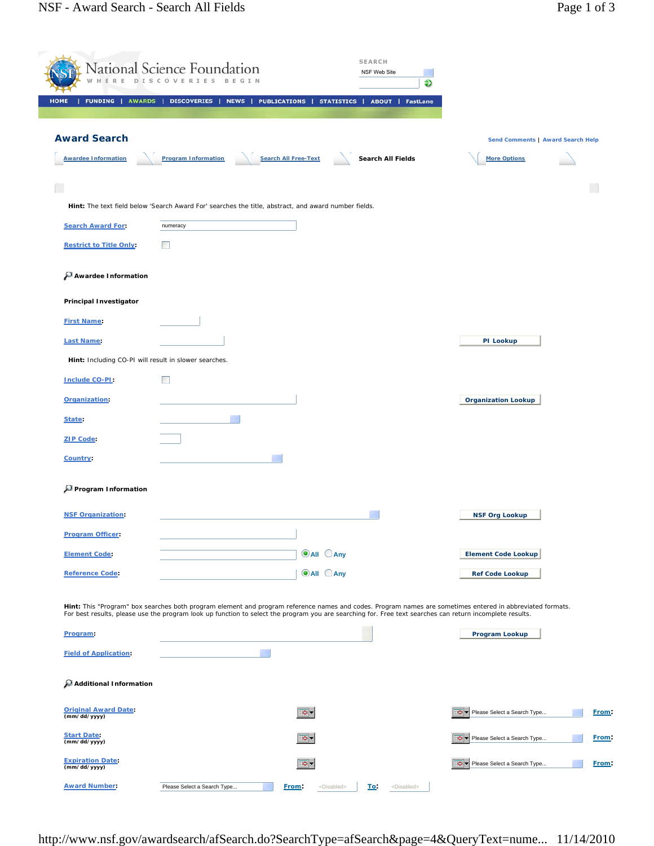| D                                           | National Science Foundation<br>I S<br>$\circ$         |                                                                                                      | <b>SEARCH</b><br>NSF Web Site<br>€                                                                                                                       |                                                                                                                                                           |  |
|---------------------------------------------|-------------------------------------------------------|------------------------------------------------------------------------------------------------------|----------------------------------------------------------------------------------------------------------------------------------------------------------|-----------------------------------------------------------------------------------------------------------------------------------------------------------|--|
| <b>FUNDING</b><br><b>AWARDS</b><br>HOME     | <b>DISCOVERIES</b>                                    | <b>NEWS</b><br><b>PUBLICATIONS</b>                                                                   | <b>STATISTICS</b><br>ABOUT  <br>FastLane                                                                                                                 |                                                                                                                                                           |  |
| <b>Award Search</b>                         |                                                       |                                                                                                      |                                                                                                                                                          | Send Comments   Award Search Help                                                                                                                         |  |
| <b>Awardee Information</b>                  | <b>Program Information</b>                            | <b>Search All Free-Text</b>                                                                          | Search All Fields                                                                                                                                        | <b>More Options</b>                                                                                                                                       |  |
|                                             |                                                       |                                                                                                      |                                                                                                                                                          |                                                                                                                                                           |  |
|                                             |                                                       | Hint: The text field below 'Search Award For' searches the title, abstract, and award number fields. |                                                                                                                                                          |                                                                                                                                                           |  |
| <b>Search Award For:</b>                    | numeracy                                              |                                                                                                      |                                                                                                                                                          |                                                                                                                                                           |  |
| <b>Restrict to Title Only:</b>              | <b>The State</b>                                      |                                                                                                      |                                                                                                                                                          |                                                                                                                                                           |  |
| Awardee Information                         |                                                       |                                                                                                      |                                                                                                                                                          |                                                                                                                                                           |  |
| <b>Principal Investigator</b>               |                                                       |                                                                                                      |                                                                                                                                                          |                                                                                                                                                           |  |
| <b>First Name:</b>                          |                                                       |                                                                                                      |                                                                                                                                                          |                                                                                                                                                           |  |
| <b>Last Name:</b>                           |                                                       |                                                                                                      |                                                                                                                                                          | PI Lookup                                                                                                                                                 |  |
|                                             | Hint: Including CO-PI will result in slower searches. |                                                                                                      |                                                                                                                                                          |                                                                                                                                                           |  |
| <b>Include CO-PI:</b>                       | <b>The State</b>                                      |                                                                                                      |                                                                                                                                                          |                                                                                                                                                           |  |
| Organization:                               |                                                       |                                                                                                      |                                                                                                                                                          | <b>Organization Lookup</b>                                                                                                                                |  |
| State:                                      |                                                       |                                                                                                      |                                                                                                                                                          |                                                                                                                                                           |  |
| <b>ZIP Code:</b>                            |                                                       |                                                                                                      |                                                                                                                                                          |                                                                                                                                                           |  |
| Country:                                    |                                                       |                                                                                                      |                                                                                                                                                          |                                                                                                                                                           |  |
| Program Information                         |                                                       |                                                                                                      |                                                                                                                                                          |                                                                                                                                                           |  |
| <b>NSF Organization:</b>                    |                                                       |                                                                                                      |                                                                                                                                                          | <b>NSF Org Lookup</b>                                                                                                                                     |  |
| <b>Program Officer:</b>                     |                                                       |                                                                                                      |                                                                                                                                                          |                                                                                                                                                           |  |
| <b>Element Code:</b>                        |                                                       | <b>O</b> All CAny                                                                                    |                                                                                                                                                          | <b>Element Code Lookup</b>                                                                                                                                |  |
| <b>Reference Code:</b>                      |                                                       | <b>O</b> All CAny                                                                                    |                                                                                                                                                          | <b>Ref Code Lookup</b>                                                                                                                                    |  |
|                                             |                                                       |                                                                                                      |                                                                                                                                                          | Hint: This "Program" box searches both program element and program reference names and codes. Program names are sometimes entered in abbreviated formats. |  |
| Program:                                    |                                                       |                                                                                                      | For best results, please use the program look up function to select the program you are searching for. Free text searches can return incomplete results. | Program Lookup                                                                                                                                            |  |
| <b>Field of Application:</b>                |                                                       |                                                                                                      |                                                                                                                                                          |                                                                                                                                                           |  |
| Additional Information                      |                                                       |                                                                                                      |                                                                                                                                                          |                                                                                                                                                           |  |
| <b>Original Award Date:</b><br>(mm/dd/yyyy) |                                                       | .o -                                                                                                 |                                                                                                                                                          | Please Select a Search Type                                                                                                                               |  |
| <b>Start Date:</b><br>(mm/dd/yyyy)          |                                                       | ಂ-                                                                                                   |                                                                                                                                                          | - o - l<br>Please Select a Search Type                                                                                                                    |  |
| <b>Expiration Date:</b><br>(mm/dd/yyyy)     |                                                       | ಂ.                                                                                                   |                                                                                                                                                          | . o - 1<br>Please Select a Search Type                                                                                                                    |  |
| <b>Award Number:</b>                        | Please Select a Search Type                           | From:                                                                                                | <disabled><br/><u>To:</u><br/><disabled></disabled></disabled>                                                                                           |                                                                                                                                                           |  |

http://www.nsf.gov/awardsearch/afSearch.do?SearchType=afSearch&page=4&QueryText=nume... 11/14/2010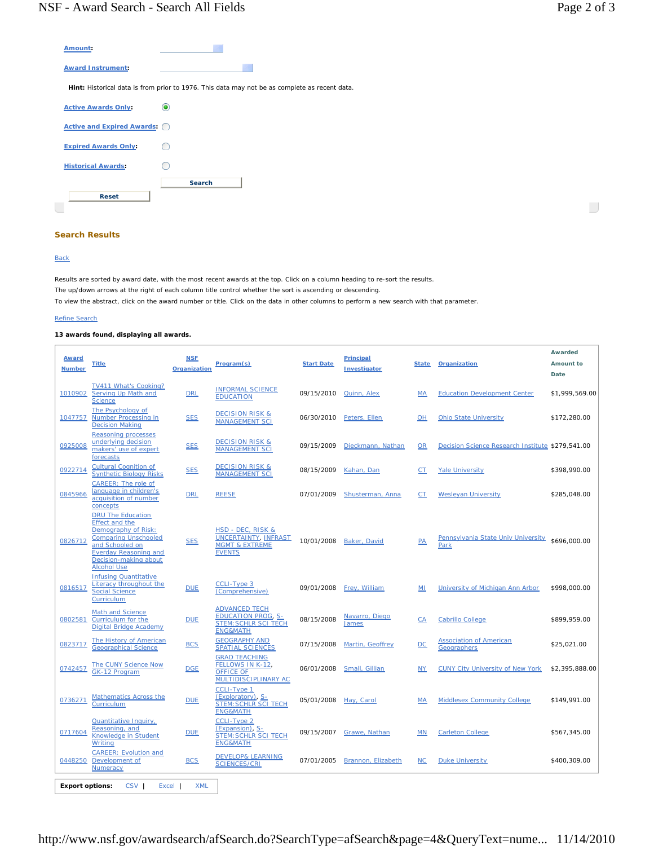$\overline{\phantom{a}}$ 

| Amount:                       |                                                                                               |
|-------------------------------|-----------------------------------------------------------------------------------------------|
| <b>Award Instrument:</b>      |                                                                                               |
|                               | Hint: Historical data is from prior to 1976. This data may not be as complete as recent data. |
| <b>Active Awards Only:</b>    |                                                                                               |
| Active and Expired Awards: () |                                                                                               |
| <b>Expired Awards Only:</b>   |                                                                                               |
| <b>Historical Awards:</b>     |                                                                                               |
|                               | <b>Search</b>                                                                                 |
| <b>Reset</b>                  |                                                                                               |

## **Search Results**

## **Back**

Results are sorted by award date, with the most recent awards at the top. Click on a column heading to re-sort the results. The up/down arrows at the right of each column title control whether the sort is ascending or descending. To view the abstract, click on the award number or title. Click on the data in other columns to perform a new search with that parameter.

## Refine Search

## **13 awards found, displaying all awards.**

| <b>Award</b><br><b>Number</b> | <b>Title</b>                                                                                                                                                                                              | <b>NSF</b><br><b>Organization</b> | Program(s)                                                                                              | <b>Start Date</b> | <b>Principal</b><br>Investigator | <b>State</b> | Organization                                     | <b>Awarded</b><br>Amount to<br>Date |
|-------------------------------|-----------------------------------------------------------------------------------------------------------------------------------------------------------------------------------------------------------|-----------------------------------|---------------------------------------------------------------------------------------------------------|-------------------|----------------------------------|--------------|--------------------------------------------------|-------------------------------------|
| 1010902                       | TV411 What's Cooking?<br>Serving Up Math and<br><b>Science</b>                                                                                                                                            | <b>DRL</b>                        | <b>INFORMAL SCIENCE</b><br><b>EDUCATION</b>                                                             | 09/15/2010        | Quinn, Alex                      | MA           | <b>Education Development Center</b>              | \$1,999,569.00                      |
| 1047757                       | The Psychology of<br><b>Number Processing in</b><br><b>Decision Making</b>                                                                                                                                | <b>SES</b>                        | <b>DECISION RISK &amp;</b><br><b>MANAGEMENT SCI</b>                                                     | 06/30/2010        | Peters, Ellen                    | OH           | <b>Ohio State University</b>                     | \$172,280.00                        |
| 0925008                       | <b>Reasoning processes</b><br>underlying decision<br>makers' use of expert<br>forecasts                                                                                                                   | <b>SES</b>                        | <b>DECISION RISK &amp;</b><br><b>MANAGEMENT SCI</b>                                                     | 09/15/2009        | Dieckmann, Nathan                | <b>OR</b>    | Decision Science Research Institute \$279,541.00 |                                     |
| 0922714                       | <b>Cultural Cognition of</b><br><b>Synthetic Biology Risks</b>                                                                                                                                            | <b>SES</b>                        | <b>DECISION RISK &amp;</b><br><b>MANAGEMENT SCI</b>                                                     | 08/15/2009        | Kahan, Dan                       | $C$ T        | <b>Yale University</b>                           | \$398,990.00                        |
| 0845966                       | CAREER: The role of<br>language in children's<br>acquisition of number<br>concepts                                                                                                                        | <b>DRL</b>                        | <b>REESE</b>                                                                                            | 07/01/2009        | Shusterman, Anna                 | CT           | <b>Wesleyan University</b>                       | \$285,048.00                        |
| 0826712                       | <b>DRU The Education</b><br><b>Effect and the</b><br>Demography of Risk:<br><b>Comparing Unschooled</b><br>and Schooled on<br><b>Everday Reasoning and</b><br>Decision-making about<br><b>Alcohol Use</b> | <b>SES</b>                        | HSD - DEC, RISK &<br><b>UNCERTAINTY, INFRAST</b><br><b>MGMT &amp; EXTREME</b><br><b>EVENTS</b>          | 10/01/2008        | Baker, David                     | <b>PA</b>    | Pennsylvania State Univ University<br>Park       | \$696,000.00                        |
| 0816517                       | <b>Infusing Quantitative</b><br><b>Literacy throughout the</b><br><b>Social Science</b><br>Curriculum                                                                                                     | <b>DUE</b>                        | CCLI-Type 3<br>(Comprehensive)                                                                          | 09/01/2008        | Frey, William                    | MI           | University of Michigan Ann Arbor                 | \$998,000.00                        |
| 0802581                       | Math and Science<br>Curriculum for the<br>Digital Bridge Academy                                                                                                                                          | <b>DUE</b>                        | <b>ADVANCED TECH</b><br><b>EDUCATION PROG, S-</b><br><b>STEM: SCHLR SCI TECH</b><br><b>ENG&amp;MATH</b> | 08/15/2008        | Navarro, Diego<br><b>James</b>   | CA           | <b>Cabrillo College</b>                          | \$899.959.00                        |
| 0823717                       | The History of American<br><b>Geographical Science</b>                                                                                                                                                    | <b>BCS</b>                        | <b>GEOGRAPHY AND</b><br><b>SPATIAL SCIENCES</b>                                                         | 07/15/2008        | Martin, Geoffrey                 | DC           | <b>Association of American</b><br>Geographers    | \$25,021.00                         |
| 0742457                       | The CUNY Science Now<br>GK-12 Program                                                                                                                                                                     | <b>DGE</b>                        | <b>GRAD TEACHING</b><br>FELLOWS IN K-12,<br><b>OFFICE OF</b><br>MULTIDISCIPLINARY AC                    | 06/01/2008        | Small, Gillian                   | <b>NY</b>    | <b>CUNY City University of New York</b>          | \$2.395.888.00                      |
| 0736271                       | <b>Mathematics Across the</b><br>Curriculum                                                                                                                                                               | <b>DUE</b>                        | <b>CCLI-Type 1</b><br>(Exploratory), S-<br><b>STEM: SCHLR SCI TECH</b><br><b>ENG&amp;MATH</b>           | 05/01/2008        | Hay, Carol                       | MA           | <b>Middlesex Community College</b>               | \$149,991.00                        |
| 0717604                       | <b>Quantitative Inquiry,</b><br>Reasoning, and<br><b>Knowledge in Student</b><br>Writing                                                                                                                  | <b>DUE</b>                        | <b>CCLI-Type 2</b><br>(Expansion), S-<br><b>STEM: SCHLR SCI TECH</b><br><b>ENG&amp;MATH</b>             | 09/15/2007        | Grawe, Nathan                    | MN           | <b>Carleton College</b>                          | \$567,345.00                        |
| 0448250                       | <b>CAREER: Evolution and</b><br>Development of<br>Numeracy                                                                                                                                                | <b>BCS</b>                        | <b>DEVELOP&amp; LEARNING</b><br><b>SCIENCES/CRL</b>                                                     | 07/01/2005        | Brannon, Elizabeth               | $NC$         | <b>Duke University</b>                           | \$400,309.00                        |
| <b>Export options:</b>        | CSV <sub>I</sub><br>Excel                                                                                                                                                                                 | <b>XML</b>                        |                                                                                                         |                   |                                  |              |                                                  |                                     |